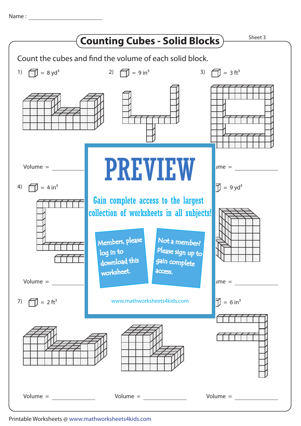